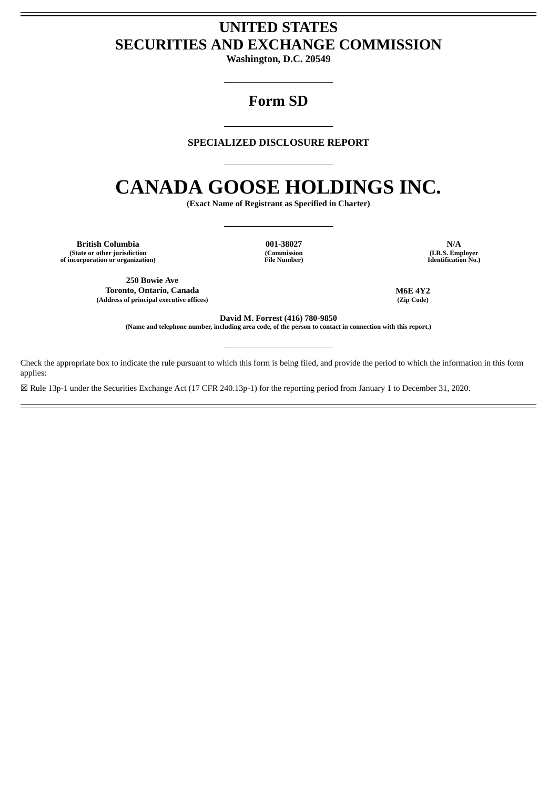# **UNITED STATES SECURITIES AND EXCHANGE COMMISSION**

**Washington, D.C. 20549**

## **Form SD**

## **SPECIALIZED DISCLOSURE REPORT**

# **CANADA GOOSE HOLDINGS INC.**

**(Exact Name of Registrant as Specified in Charter)**

**British Columbia 001-38027 N/A (State or other jurisdiction of incorporation or organization)**

**(Commission File Number)**

**(I.R.S. Employer Identification No.)**

**250 Bowie Ave Toronto, Ontario, Canada M6E 4Y2 (Address of principal executive offices) (Zip Code)**

**David M. Forrest (416) 780-9850**

(Name and telephone number, including area code, of the person to contact in connection with this report.)

Check the appropriate box to indicate the rule pursuant to which this form is being filed, and provide the period to which the information in this form applies:

☒ Rule 13p-1 under the Securities Exchange Act (17 CFR 240.13p-1) for the reporting period from January 1 to December 31, 2020.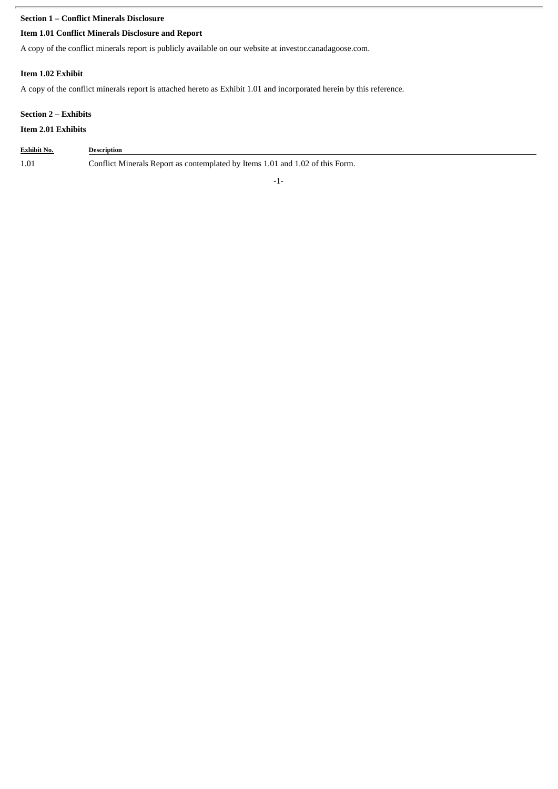## **Section 1 – Conflict Minerals Disclosure**

## **Item 1.01 Conflict Minerals Disclosure and Report**

A copy of the conflict minerals report is publicly available on our website at investor.canadagoose.com.

## **Item 1.02 Exhibit**

A copy of the conflict minerals report is attached hereto as Exhibit 1.01 and incorporated herein by this reference.

## **Section 2 – Exhibits**

## **Item 2.01 Exhibits**

| <b>Exhibit No.</b> | <b>Description</b>                                                            |
|--------------------|-------------------------------------------------------------------------------|
| 1.01               | Conflict Minerals Report as contemplated by Items 1.01 and 1.02 of this Form. |

-1-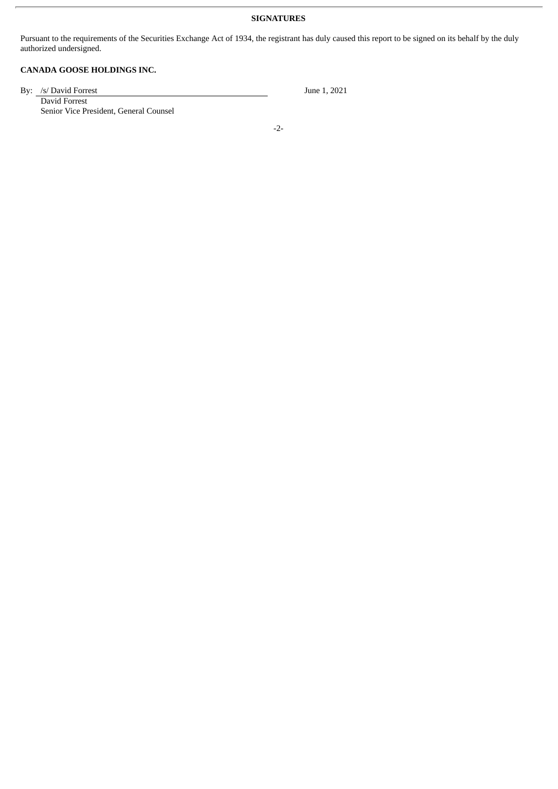### **SIGNATURES**

Pursuant to the requirements of the Securities Exchange Act of 1934, the registrant has duly caused this report to be signed on its behalf by the duly authorized undersigned.

## **CANADA GOOSE HOLDINGS INC.**

By: /s/ David Forrest June 1, 2021

David Forrest Senior Vice President, General Counsel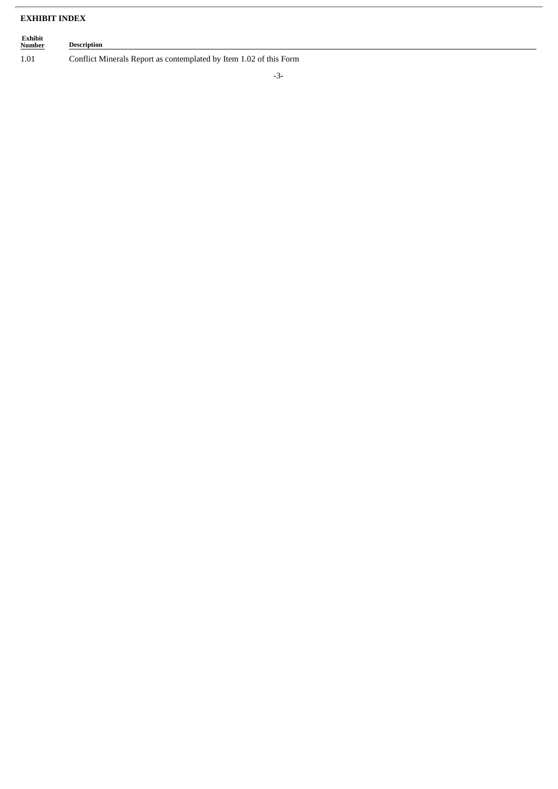## **EXHIBIT INDEX**

## **Exhibit Description** 1.01 Conflict Minerals Report as contemplated by Item 1.02 of this Form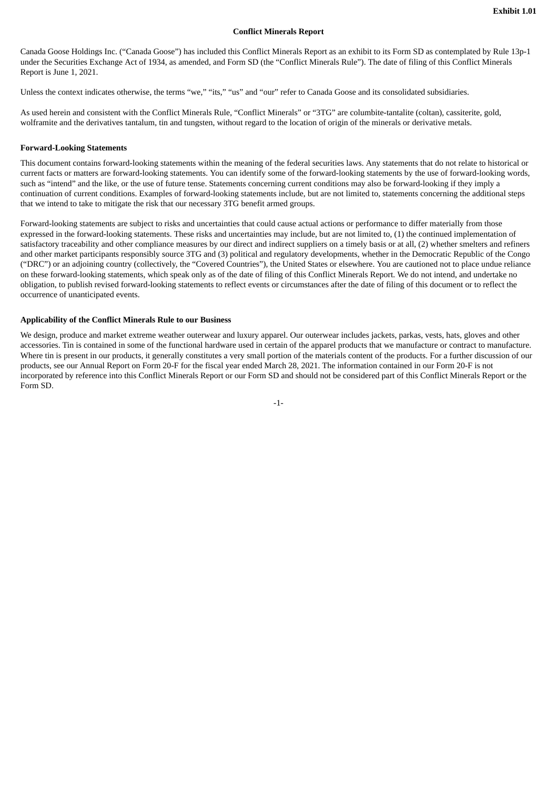#### **Conflict Minerals Report**

Canada Goose Holdings Inc. ("Canada Goose") has included this Conflict Minerals Report as an exhibit to its Form SD as contemplated by Rule 13p-1 under the Securities Exchange Act of 1934, as amended, and Form SD (the "Conflict Minerals Rule"). The date of filing of this Conflict Minerals Report is June 1, 2021.

Unless the context indicates otherwise, the terms "we," "its," "us" and "our" refer to Canada Goose and its consolidated subsidiaries.

As used herein and consistent with the Conflict Minerals Rule, "Conflict Minerals" or "3TG" are columbite-tantalite (coltan), cassiterite, gold, wolframite and the derivatives tantalum, tin and tungsten, without regard to the location of origin of the minerals or derivative metals.

#### **Forward-Looking Statements**

This document contains forward-looking statements within the meaning of the federal securities laws. Any statements that do not relate to historical or current facts or matters are forward-looking statements. You can identify some of the forward-looking statements by the use of forward-looking words, such as "intend" and the like, or the use of future tense. Statements concerning current conditions may also be forward-looking if they imply a continuation of current conditions. Examples of forward-looking statements include, but are not limited to, statements concerning the additional steps that we intend to take to mitigate the risk that our necessary 3TG benefit armed groups.

Forward-looking statements are subject to risks and uncertainties that could cause actual actions or performance to differ materially from those expressed in the forward-looking statements. These risks and uncertainties may include, but are not limited to, (1) the continued implementation of satisfactory traceability and other compliance measures by our direct and indirect suppliers on a timely basis or at all, (2) whether smelters and refiners and other market participants responsibly source 3TG and (3) political and regulatory developments, whether in the Democratic Republic of the Congo ("DRC") or an adjoining country (collectively, the "Covered Countries"), the United States or elsewhere. You are cautioned not to place undue reliance on these forward-looking statements, which speak only as of the date of filing of this Conflict Minerals Report. We do not intend, and undertake no obligation, to publish revised forward-looking statements to reflect events or circumstances after the date of filing of this document or to reflect the occurrence of unanticipated events.

#### **Applicability of the Conflict Minerals Rule to our Business**

We design, produce and market extreme weather outerwear and luxury apparel. Our outerwear includes jackets, parkas, vests, hats, gloves and other accessories. Tin is contained in some of the functional hardware used in certain of the apparel products that we manufacture or contract to manufacture. Where tin is present in our products, it generally constitutes a very small portion of the materials content of the products. For a further discussion of our products, see our Annual Report on Form 20-F for the fiscal year ended March 28, 2021. The information contained in our Form 20-F is not incorporated by reference into this Conflict Minerals Report or our Form SD and should not be considered part of this Conflict Minerals Report or the Form SD.

-1-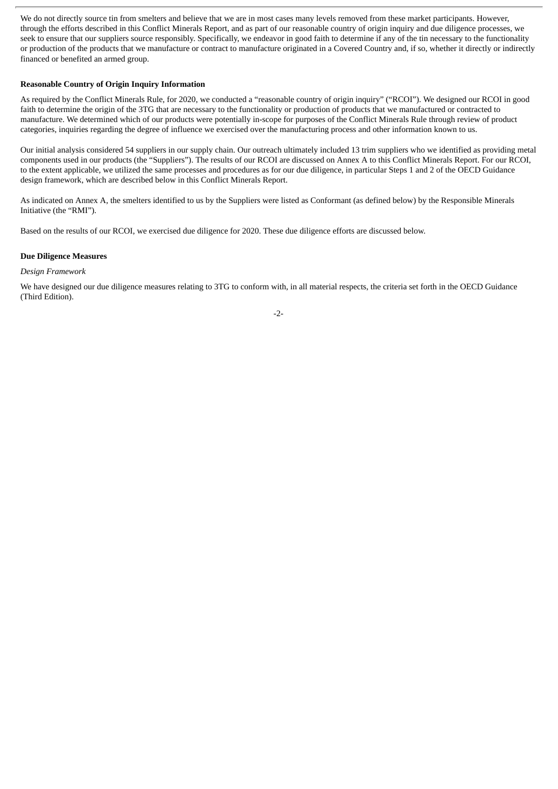We do not directly source tin from smelters and believe that we are in most cases many levels removed from these market participants. However, through the efforts described in this Conflict Minerals Report, and as part of our reasonable country of origin inquiry and due diligence processes, we seek to ensure that our suppliers source responsibly. Specifically, we endeavor in good faith to determine if any of the tin necessary to the functionality or production of the products that we manufacture or contract to manufacture originated in a Covered Country and, if so, whether it directly or indirectly financed or benefited an armed group.

#### **Reasonable Country of Origin Inquiry Information**

As required by the Conflict Minerals Rule, for 2020, we conducted a "reasonable country of origin inquiry" ("RCOI"). We designed our RCOI in good faith to determine the origin of the 3TG that are necessary to the functionality or production of products that we manufactured or contracted to manufacture. We determined which of our products were potentially in-scope for purposes of the Conflict Minerals Rule through review of product categories, inquiries regarding the degree of influence we exercised over the manufacturing process and other information known to us.

Our initial analysis considered 54 suppliers in our supply chain. Our outreach ultimately included 13 trim suppliers who we identified as providing metal components used in our products (the "Suppliers"). The results of our RCOI are discussed on Annex A to this Conflict Minerals Report. For our RCOI, to the extent applicable, we utilized the same processes and procedures as for our due diligence, in particular Steps 1 and 2 of the OECD Guidance design framework, which are described below in this Conflict Minerals Report.

As indicated on Annex A, the smelters identified to us by the Suppliers were listed as Conformant (as defined below) by the Responsible Minerals Initiative (the "RMI").

Based on the results of our RCOI, we exercised due diligence for 2020. These due diligence efforts are discussed below.

#### **Due Diligence Measures**

#### *Design Framework*

We have designed our due diligence measures relating to 3TG to conform with, in all material respects, the criteria set forth in the OECD Guidance (Third Edition).

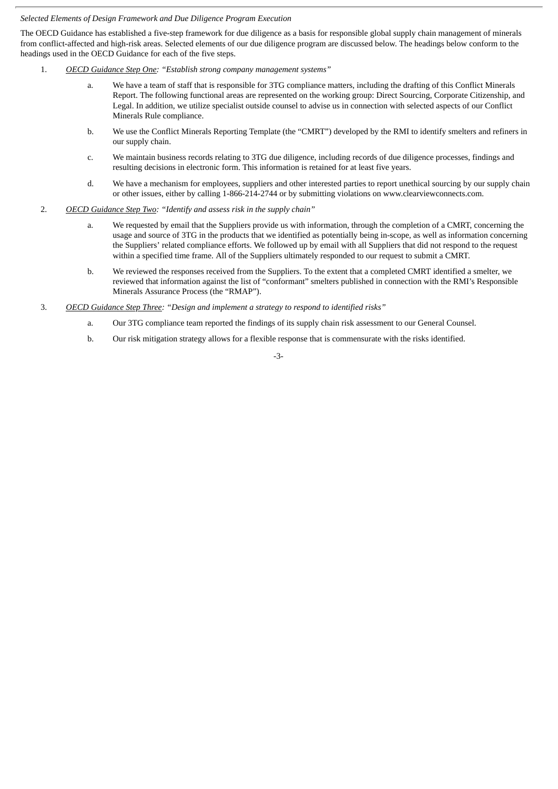#### *Selected Elements of Design Framework and Due Diligence Program Execution*

The OECD Guidance has established a five-step framework for due diligence as a basis for responsible global supply chain management of minerals from conflict-affected and high-risk areas. Selected elements of our due diligence program are discussed below. The headings below conform to the headings used in the OECD Guidance for each of the five steps.

- 1. *OECD Guidance Step One: "Establish strong company management systems"*
	- a. We have a team of staff that is responsible for 3TG compliance matters, including the drafting of this Conflict Minerals Report. The following functional areas are represented on the working group: Direct Sourcing, Corporate Citizenship, and Legal. In addition, we utilize specialist outside counsel to advise us in connection with selected aspects of our Conflict Minerals Rule compliance.
	- b. We use the Conflict Minerals Reporting Template (the "CMRT") developed by the RMI to identify smelters and refiners in our supply chain.
	- c. We maintain business records relating to 3TG due diligence, including records of due diligence processes, findings and resulting decisions in electronic form. This information is retained for at least five years.
	- d. We have a mechanism for employees, suppliers and other interested parties to report unethical sourcing by our supply chain or other issues, either by calling 1-866-214-2744 or by submitting violations on www.clearviewconnects.com.
- 2. *OECD Guidance Step Two: "Identify and assess risk in the supply chain"*
	- a. We requested by email that the Suppliers provide us with information, through the completion of a CMRT, concerning the usage and source of 3TG in the products that we identified as potentially being in-scope, as well as information concerning the Suppliers' related compliance efforts. We followed up by email with all Suppliers that did not respond to the request within a specified time frame. All of the Suppliers ultimately responded to our request to submit a CMRT.
	- b. We reviewed the responses received from the Suppliers. To the extent that a completed CMRT identified a smelter, we reviewed that information against the list of "conformant" smelters published in connection with the RMI's Responsible Minerals Assurance Process (the "RMAP").
- 3. *OECD Guidance Step Three: "Design and implement a strategy to respond to identified risks"*
	- a. Our 3TG compliance team reported the findings of its supply chain risk assessment to our General Counsel.
	- b. Our risk mitigation strategy allows for a flexible response that is commensurate with the risks identified.

-3-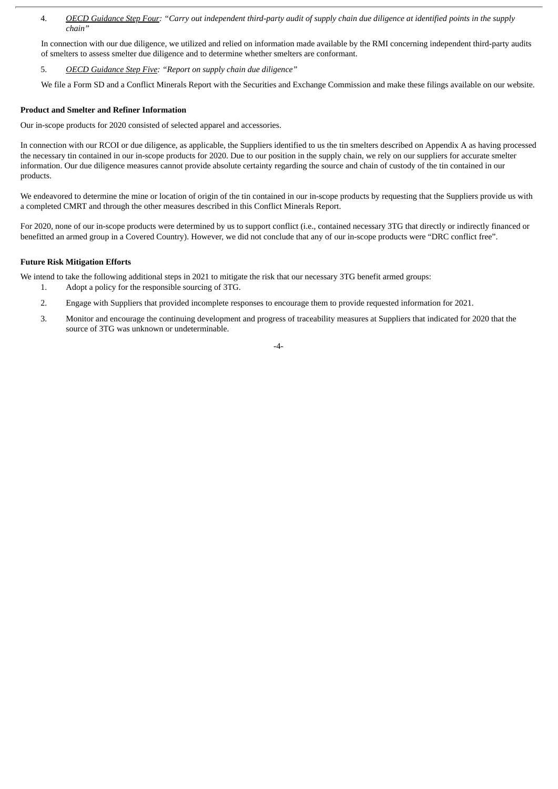4. OECD Guidance Step Four: "Carry out independent third-party audit of supply chain due diligence at identified points in the supply *chain"*

In connection with our due diligence, we utilized and relied on information made available by the RMI concerning independent third-party audits of smelters to assess smelter due diligence and to determine whether smelters are conformant.

5. *OECD Guidance Step Five: "Report on supply chain due diligence"*

We file a Form SD and a Conflict Minerals Report with the Securities and Exchange Commission and make these filings available on our website.

#### **Product and Smelter and Refiner Information**

Our in-scope products for 2020 consisted of selected apparel and accessories.

In connection with our RCOI or due diligence, as applicable, the Suppliers identified to us the tin smelters described on Appendix A as having processed the necessary tin contained in our in-scope products for 2020. Due to our position in the supply chain, we rely on our suppliers for accurate smelter information. Our due diligence measures cannot provide absolute certainty regarding the source and chain of custody of the tin contained in our products.

We endeavored to determine the mine or location of origin of the tin contained in our in-scope products by requesting that the Suppliers provide us with a completed CMRT and through the other measures described in this Conflict Minerals Report.

For 2020, none of our in-scope products were determined by us to support conflict (i.e., contained necessary 3TG that directly or indirectly financed or benefitted an armed group in a Covered Country). However, we did not conclude that any of our in-scope products were "DRC conflict free".

#### **Future Risk Mitigation Efforts**

We intend to take the following additional steps in 2021 to mitigate the risk that our necessary 3TG benefit armed groups:

- 1. Adopt a policy for the responsible sourcing of 3TG.
- 2. Engage with Suppliers that provided incomplete responses to encourage them to provide requested information for 2021.
- 3. Monitor and encourage the continuing development and progress of traceability measures at Suppliers that indicated for 2020 that the source of 3TG was unknown or undeterminable.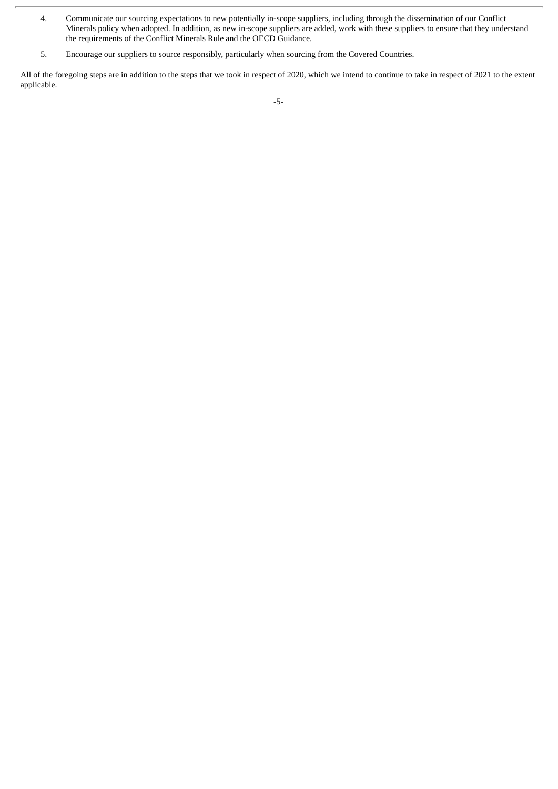- 4. Communicate our sourcing expectations to new potentially in-scope suppliers, including through the dissemination of our Conflict Minerals policy when adopted. In addition, as new in-scope suppliers are added, work with these suppliers to ensure that they understand the requirements of the Conflict Minerals Rule and the OECD Guidance.
- 5. Encourage our suppliers to source responsibly, particularly when sourcing from the Covered Countries.

All of the foregoing steps are in addition to the steps that we took in respect of 2020, which we intend to continue to take in respect of 2021 to the extent applicable.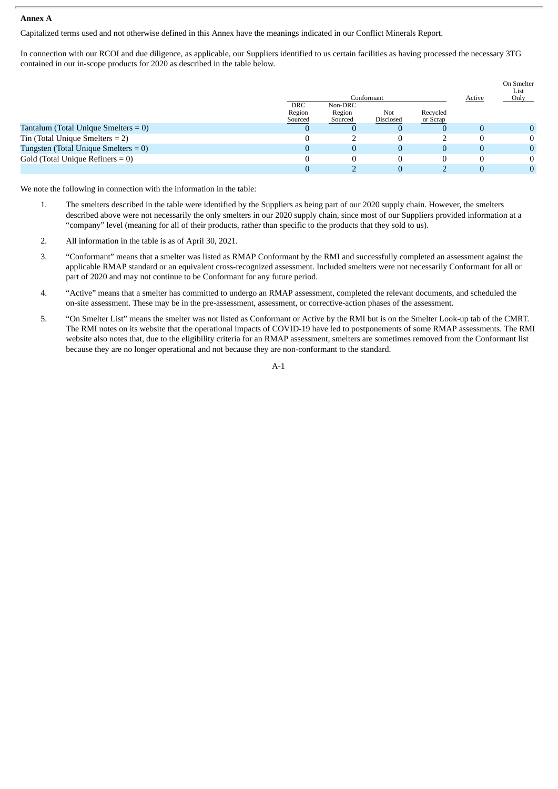#### **Annex A**

Capitalized terms used and not otherwise defined in this Annex have the meanings indicated in our Conflict Minerals Report.

In connection with our RCOI and due diligence, as applicable, our Suppliers identified to us certain facilities as having processed the necessary 3TG contained in our in-scope products for 2020 as described in the table below.

|                                                       | Conformant                      |                              |                  | Active               | On Smelter<br>List<br>Only |   |
|-------------------------------------------------------|---------------------------------|------------------------------|------------------|----------------------|----------------------------|---|
|                                                       | <b>DRC</b><br>Region<br>Sourced | Non-DRC<br>Region<br>Sourced | Not<br>Disclosed | Recycled<br>or Scrap |                            |   |
| Tantalum (Total Unique Smelters $= 0$ )               | U                               |                              |                  |                      |                            | 0 |
| $\overline{\text{I}}$ Tin (Total Unique Smelters = 2) |                                 |                              |                  |                      |                            | 0 |
| Tungsten (Total Unique Smelters $= 0$ )               |                                 | 0                            |                  | 0                    |                            | 0 |
| Gold (Total Unique Refiners $= 0$ )                   |                                 |                              |                  |                      |                            | 0 |
|                                                       |                                 |                              |                  |                      |                            |   |

We note the following in connection with the information in the table:

- 1. The smelters described in the table were identified by the Suppliers as being part of our 2020 supply chain. However, the smelters described above were not necessarily the only smelters in our 2020 supply chain, since most of our Suppliers provided information at a "company" level (meaning for all of their products, rather than specific to the products that they sold to us).
- 2. All information in the table is as of April 30, 2021.
- 3. "Conformant" means that a smelter was listed as RMAP Conformant by the RMI and successfully completed an assessment against the applicable RMAP standard or an equivalent cross-recognized assessment. Included smelters were not necessarily Conformant for all or part of 2020 and may not continue to be Conformant for any future period.
- 4. "Active" means that a smelter has committed to undergo an RMAP assessment, completed the relevant documents, and scheduled the on-site assessment. These may be in the pre-assessment, assessment, or corrective-action phases of the assessment.
- 5. "On Smelter List" means the smelter was not listed as Conformant or Active by the RMI but is on the Smelter Look-up tab of the CMRT. The RMI notes on its website that the operational impacts of COVID-19 have led to postponements of some RMAP assessments. The RMI website also notes that, due to the eligibility criteria for an RMAP assessment, smelters are sometimes removed from the Conformant list because they are no longer operational and not because they are non-conformant to the standard.

A-1